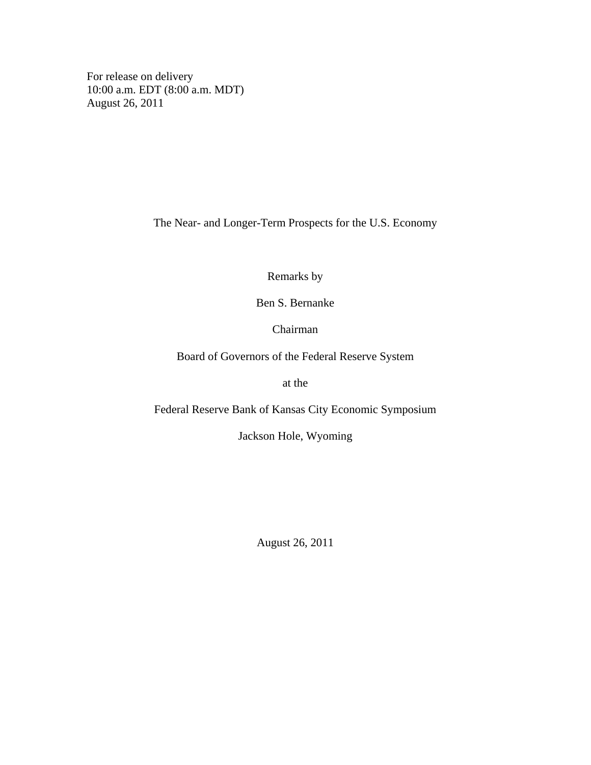For release on delivery 10:00 a.m. EDT (8:00 a.m. MDT) August 26, 2011

The Near- and Longer-Term Prospects for the U.S. Economy

Remarks by

Ben S. Bernanke

Chairman

Board of Governors of the Federal Reserve System

at the

Federal Reserve Bank of Kansas City Economic Symposium

Jackson Hole, Wyoming

August 26, 2011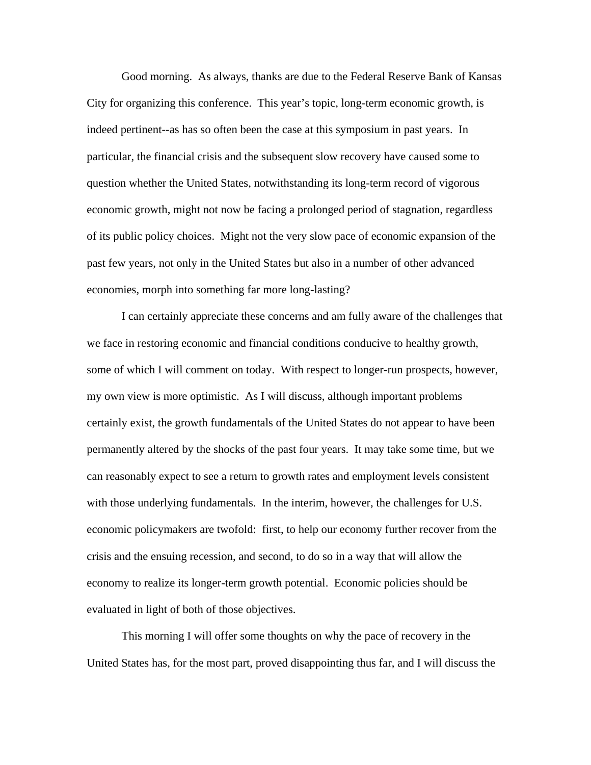Good morning. As always, thanks are due to the Federal Reserve Bank of Kansas City for organizing this conference. This year's topic, long-term economic growth, is indeed pertinent--as has so often been the case at this symposium in past years. In particular, the financial crisis and the subsequent slow recovery have caused some to question whether the United States, notwithstanding its long-term record of vigorous economic growth, might not now be facing a prolonged period of stagnation, regardless of its public policy choices. Might not the very slow pace of economic expansion of the past few years, not only in the United States but also in a number of other advanced economies, morph into something far more long-lasting?

I can certainly appreciate these concerns and am fully aware of the challenges that we face in restoring economic and financial conditions conducive to healthy growth, some of which I will comment on today. With respect to longer-run prospects, however, my own view is more optimistic. As I will discuss, although important problems certainly exist, the growth fundamentals of the United States do not appear to have been permanently altered by the shocks of the past four years. It may take some time, but we can reasonably expect to see a return to growth rates and employment levels consistent with those underlying fundamentals. In the interim, however, the challenges for U.S. economic policymakers are twofold: first, to help our economy further recover from the crisis and the ensuing recession, and second, to do so in a way that will allow the economy to realize its longer-term growth potential. Economic policies should be evaluated in light of both of those objectives.

 This morning I will offer some thoughts on why the pace of recovery in the United States has, for the most part, proved disappointing thus far, and I will discuss the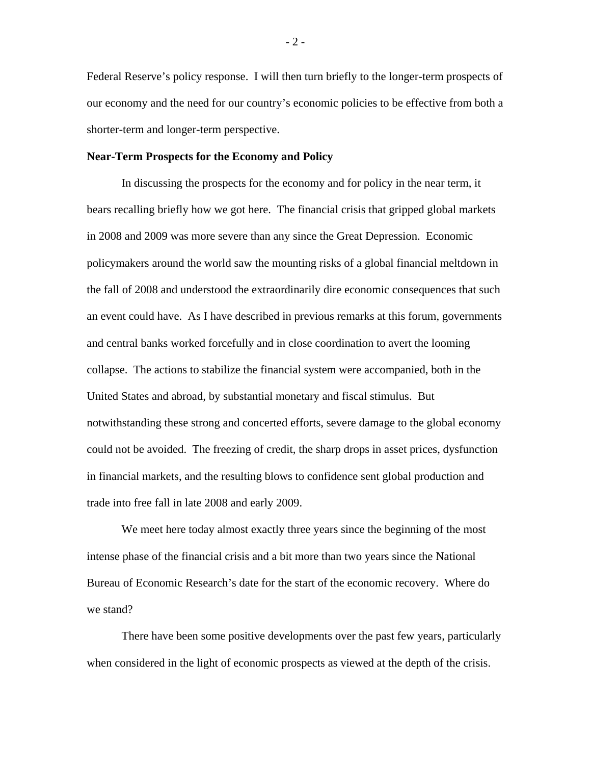Federal Reserve's policy response. I will then turn briefly to the longer-term prospects of our economy and the need for our country's economic policies to be effective from both a shorter-term and longer-term perspective.

## **Near-Term Prospects for the Economy and Policy**

In discussing the prospects for the economy and for policy in the near term, it bears recalling briefly how we got here. The financial crisis that gripped global markets in 2008 and 2009 was more severe than any since the Great Depression. Economic policymakers around the world saw the mounting risks of a global financial meltdown in the fall of 2008 and understood the extraordinarily dire economic consequences that such an event could have. As I have described in previous remarks at this forum, governments and central banks worked forcefully and in close coordination to avert the looming collapse. The actions to stabilize the financial system were accompanied, both in the United States and abroad, by substantial monetary and fiscal stimulus. But notwithstanding these strong and concerted efforts, severe damage to the global economy could not be avoided. The freezing of credit, the sharp drops in asset prices, dysfunction in financial markets, and the resulting blows to confidence sent global production and trade into free fall in late 2008 and early 2009.

We meet here today almost exactly three years since the beginning of the most intense phase of the financial crisis and a bit more than two years since the National Bureau of Economic Research's date for the start of the economic recovery. Where do we stand?

There have been some positive developments over the past few years, particularly when considered in the light of economic prospects as viewed at the depth of the crisis.

- 2 -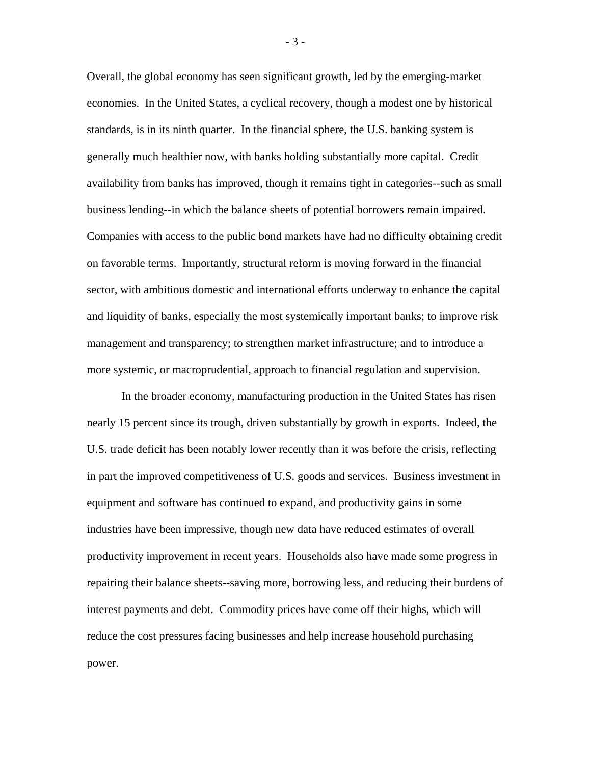Overall, the global economy has seen significant growth, led by the emerging-market economies. In the United States, a cyclical recovery, though a modest one by historical standards, is in its ninth quarter. In the financial sphere, the U.S. banking system is generally much healthier now, with banks holding substantially more capital. Credit availability from banks has improved, though it remains tight in categories--such as small business lending--in which the balance sheets of potential borrowers remain impaired. Companies with access to the public bond markets have had no difficulty obtaining credit on favorable terms. Importantly, structural reform is moving forward in the financial sector, with ambitious domestic and international efforts underway to enhance the capital and liquidity of banks, especially the most systemically important banks; to improve risk management and transparency; to strengthen market infrastructure; and to introduce a more systemic, or macroprudential, approach to financial regulation and supervision.

In the broader economy, manufacturing production in the United States has risen nearly 15 percent since its trough, driven substantially by growth in exports. Indeed, the U.S. trade deficit has been notably lower recently than it was before the crisis, reflecting in part the improved competitiveness of U.S. goods and services. Business investment in equipment and software has continued to expand, and productivity gains in some industries have been impressive, though new data have reduced estimates of overall productivity improvement in recent years. Households also have made some progress in repairing their balance sheets--saving more, borrowing less, and reducing their burdens of interest payments and debt. Commodity prices have come off their highs, which will reduce the cost pressures facing businesses and help increase household purchasing power.

- 3 -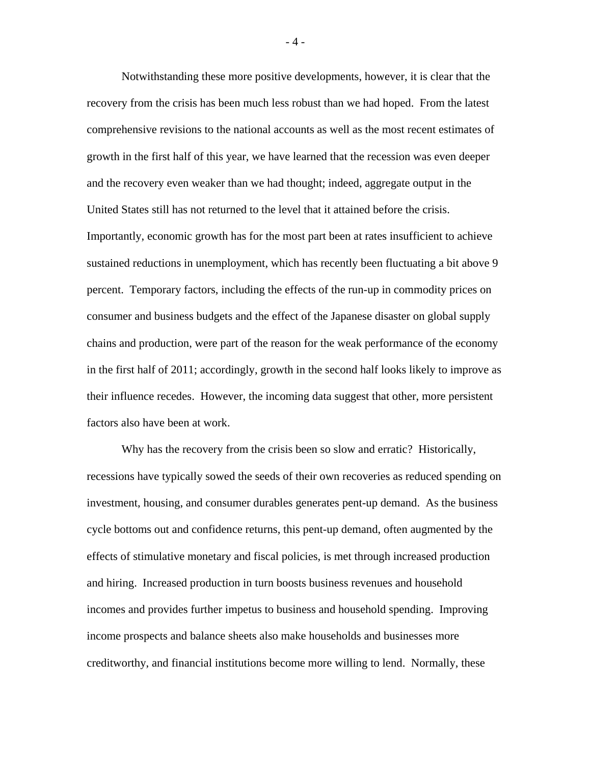Notwithstanding these more positive developments, however, it is clear that the recovery from the crisis has been much less robust than we had hoped. From the latest comprehensive revisions to the national accounts as well as the most recent estimates of growth in the first half of this year, we have learned that the recession was even deeper and the recovery even weaker than we had thought; indeed, aggregate output in the United States still has not returned to the level that it attained before the crisis. Importantly, economic growth has for the most part been at rates insufficient to achieve sustained reductions in unemployment, which has recently been fluctuating a bit above 9 percent. Temporary factors, including the effects of the run-up in commodity prices on consumer and business budgets and the effect of the Japanese disaster on global supply chains and production, were part of the reason for the weak performance of the economy in the first half of 2011; accordingly, growth in the second half looks likely to improve as their influence recedes. However, the incoming data suggest that other, more persistent factors also have been at work.

Why has the recovery from the crisis been so slow and erratic? Historically, recessions have typically sowed the seeds of their own recoveries as reduced spending on investment, housing, and consumer durables generates pent-up demand. As the business cycle bottoms out and confidence returns, this pent-up demand, often augmented by the effects of stimulative monetary and fiscal policies, is met through increased production and hiring. Increased production in turn boosts business revenues and household incomes and provides further impetus to business and household spending. Improving income prospects and balance sheets also make households and businesses more creditworthy, and financial institutions become more willing to lend. Normally, these

- 4 -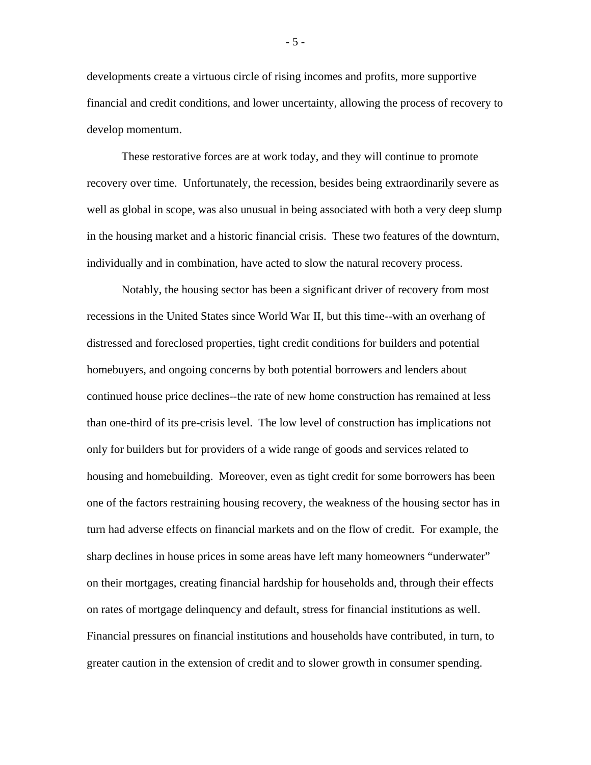developments create a virtuous circle of rising incomes and profits, more supportive financial and credit conditions, and lower uncertainty, allowing the process of recovery to develop momentum.

These restorative forces are at work today, and they will continue to promote recovery over time. Unfortunately, the recession, besides being extraordinarily severe as well as global in scope, was also unusual in being associated with both a very deep slump in the housing market and a historic financial crisis. These two features of the downturn, individually and in combination, have acted to slow the natural recovery process.

Notably, the housing sector has been a significant driver of recovery from most recessions in the United States since World War II, but this time--with an overhang of distressed and foreclosed properties, tight credit conditions for builders and potential homebuyers, and ongoing concerns by both potential borrowers and lenders about continued house price declines--the rate of new home construction has remained at less than one-third of its pre-crisis level. The low level of construction has implications not only for builders but for providers of a wide range of goods and services related to housing and homebuilding. Moreover, even as tight credit for some borrowers has been one of the factors restraining housing recovery, the weakness of the housing sector has in turn had adverse effects on financial markets and on the flow of credit. For example, the sharp declines in house prices in some areas have left many homeowners "underwater" on their mortgages, creating financial hardship for households and, through their effects on rates of mortgage delinquency and default, stress for financial institutions as well. Financial pressures on financial institutions and households have contributed, in turn, to greater caution in the extension of credit and to slower growth in consumer spending.

- 5 -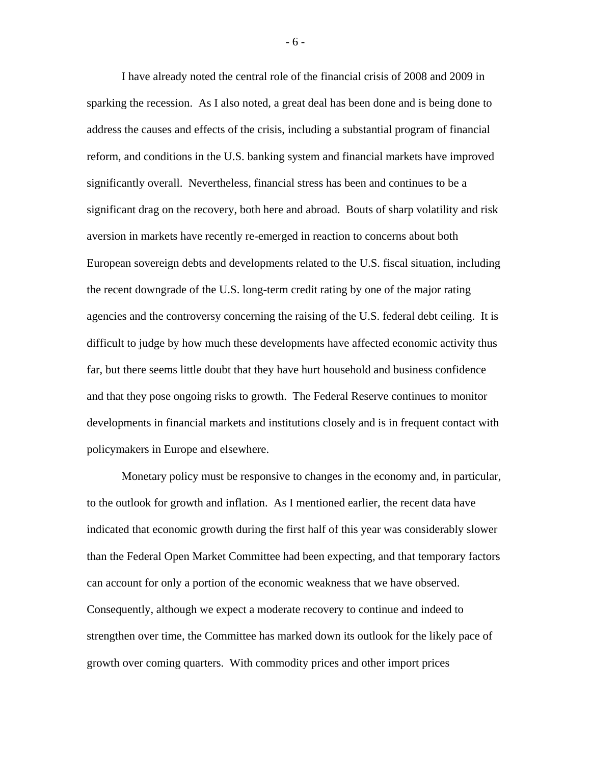I have already noted the central role of the financial crisis of 2008 and 2009 in sparking the recession. As I also noted, a great deal has been done and is being done to address the causes and effects of the crisis, including a substantial program of financial reform, and conditions in the U.S. banking system and financial markets have improved significantly overall. Nevertheless, financial stress has been and continues to be a significant drag on the recovery, both here and abroad. Bouts of sharp volatility and risk aversion in markets have recently re-emerged in reaction to concerns about both European sovereign debts and developments related to the U.S. fiscal situation, including the recent downgrade of the U.S. long-term credit rating by one of the major rating agencies and the controversy concerning the raising of the U.S. federal debt ceiling. It is difficult to judge by how much these developments have affected economic activity thus far, but there seems little doubt that they have hurt household and business confidence and that they pose ongoing risks to growth. The Federal Reserve continues to monitor developments in financial markets and institutions closely and is in frequent contact with policymakers in Europe and elsewhere.

Monetary policy must be responsive to changes in the economy and, in particular, to the outlook for growth and inflation. As I mentioned earlier, the recent data have indicated that economic growth during the first half of this year was considerably slower than the Federal Open Market Committee had been expecting, and that temporary factors can account for only a portion of the economic weakness that we have observed. Consequently, although we expect a moderate recovery to continue and indeed to strengthen over time, the Committee has marked down its outlook for the likely pace of growth over coming quarters. With commodity prices and other import prices

- 6 -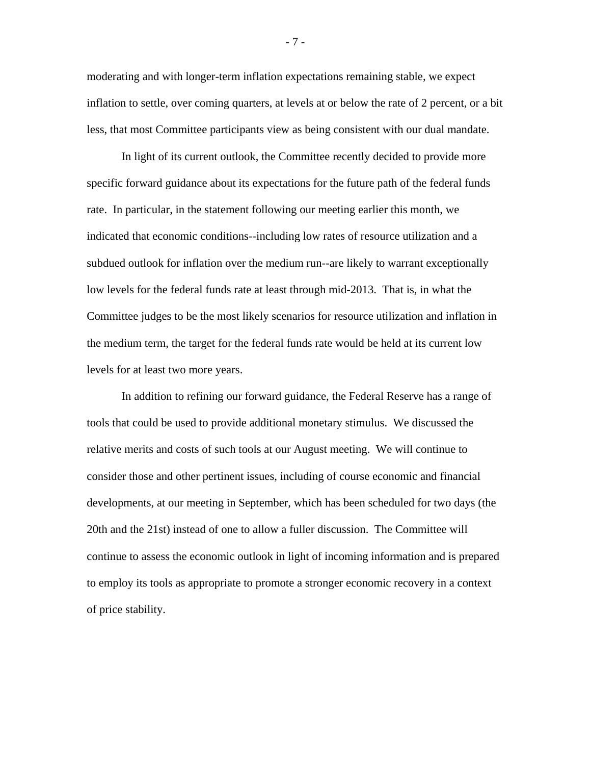moderating and with longer-term inflation expectations remaining stable, we expect inflation to settle, over coming quarters, at levels at or below the rate of 2 percent, or a bit less, that most Committee participants view as being consistent with our dual mandate.

In light of its current outlook, the Committee recently decided to provide more specific forward guidance about its expectations for the future path of the federal funds rate. In particular, in the statement following our meeting earlier this month, we indicated that economic conditions--including low rates of resource utilization and a subdued outlook for inflation over the medium run--are likely to warrant exceptionally low levels for the federal funds rate at least through mid-2013. That is, in what the Committee judges to be the most likely scenarios for resource utilization and inflation in the medium term, the target for the federal funds rate would be held at its current low levels for at least two more years.

In addition to refining our forward guidance, the Federal Reserve has a range of tools that could be used to provide additional monetary stimulus. We discussed the relative merits and costs of such tools at our August meeting. We will continue to consider those and other pertinent issues, including of course economic and financial developments, at our meeting in September, which has been scheduled for two days (the 20th and the 21st) instead of one to allow a fuller discussion. The Committee will continue to assess the economic outlook in light of incoming information and is prepared to employ its tools as appropriate to promote a stronger economic recovery in a context of price stability.

- 7 -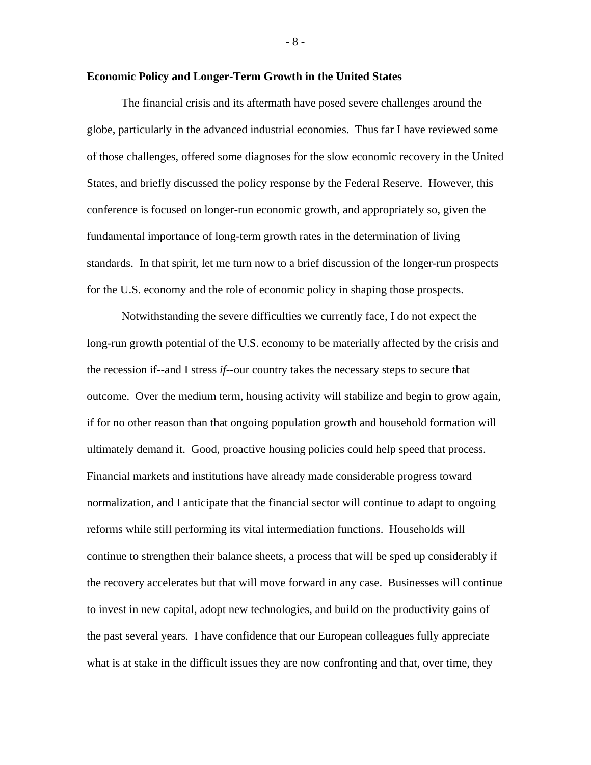## **Economic Policy and Longer-Term Growth in the United States**

 The financial crisis and its aftermath have posed severe challenges around the globe, particularly in the advanced industrial economies. Thus far I have reviewed some of those challenges, offered some diagnoses for the slow economic recovery in the United States, and briefly discussed the policy response by the Federal Reserve. However, this conference is focused on longer-run economic growth, and appropriately so, given the fundamental importance of long-term growth rates in the determination of living standards. In that spirit, let me turn now to a brief discussion of the longer-run prospects for the U.S. economy and the role of economic policy in shaping those prospects.

 Notwithstanding the severe difficulties we currently face, I do not expect the long-run growth potential of the U.S. economy to be materially affected by the crisis and the recession if--and I stress *if*--our country takes the necessary steps to secure that outcome. Over the medium term, housing activity will stabilize and begin to grow again, if for no other reason than that ongoing population growth and household formation will ultimately demand it. Good, proactive housing policies could help speed that process. Financial markets and institutions have already made considerable progress toward normalization, and I anticipate that the financial sector will continue to adapt to ongoing reforms while still performing its vital intermediation functions. Households will continue to strengthen their balance sheets, a process that will be sped up considerably if the recovery accelerates but that will move forward in any case. Businesses will continue to invest in new capital, adopt new technologies, and build on the productivity gains of the past several years. I have confidence that our European colleagues fully appreciate what is at stake in the difficult issues they are now confronting and that, over time, they

- 8 -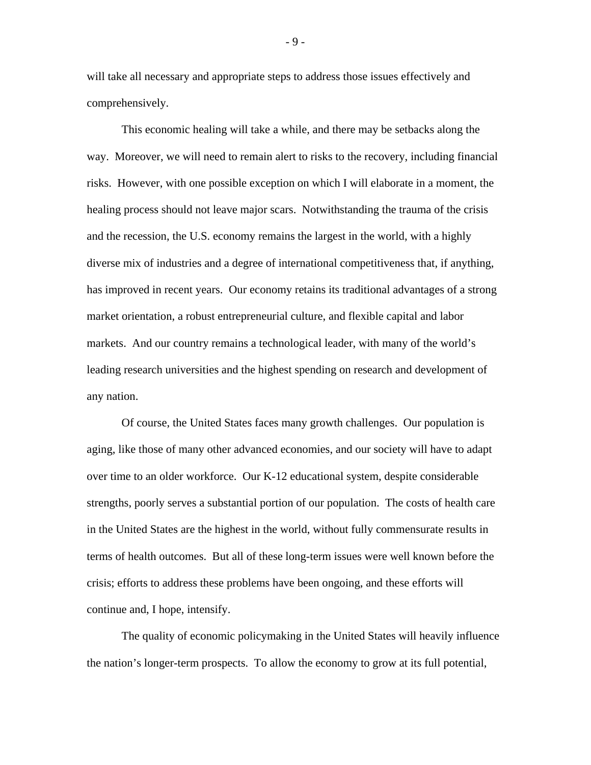will take all necessary and appropriate steps to address those issues effectively and comprehensively.

This economic healing will take a while, and there may be setbacks along the way. Moreover, we will need to remain alert to risks to the recovery, including financial risks. However, with one possible exception on which I will elaborate in a moment, the healing process should not leave major scars. Notwithstanding the trauma of the crisis and the recession, the U.S. economy remains the largest in the world, with a highly diverse mix of industries and a degree of international competitiveness that, if anything, has improved in recent years. Our economy retains its traditional advantages of a strong market orientation, a robust entrepreneurial culture, and flexible capital and labor markets. And our country remains a technological leader, with many of the world's leading research universities and the highest spending on research and development of any nation.

Of course, the United States faces many growth challenges. Our population is aging, like those of many other advanced economies, and our society will have to adapt over time to an older workforce. Our K-12 educational system, despite considerable strengths, poorly serves a substantial portion of our population. The costs of health care in the United States are the highest in the world, without fully commensurate results in terms of health outcomes. But all of these long-term issues were well known before the crisis; efforts to address these problems have been ongoing, and these efforts will continue and, I hope, intensify.

 The quality of economic policymaking in the United States will heavily influence the nation's longer-term prospects. To allow the economy to grow at its full potential,

- 9 -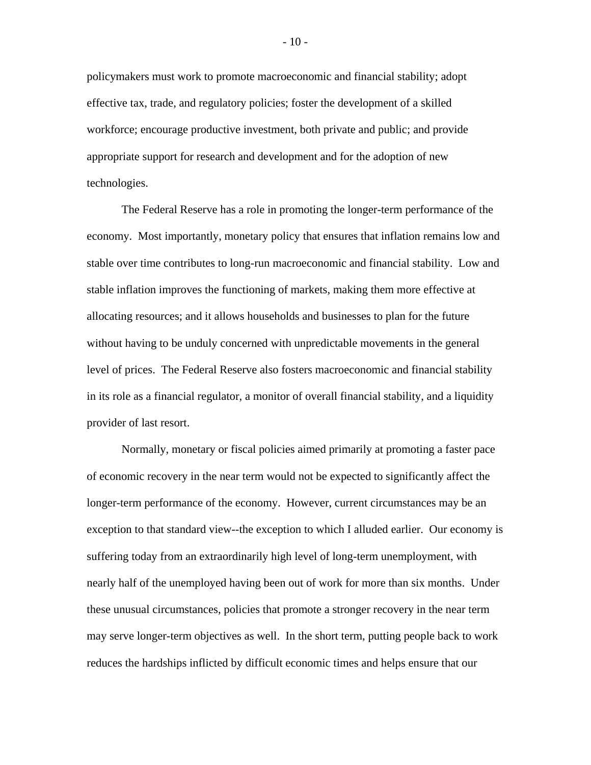policymakers must work to promote macroeconomic and financial stability; adopt effective tax, trade, and regulatory policies; foster the development of a skilled workforce; encourage productive investment, both private and public; and provide appropriate support for research and development and for the adoption of new technologies.

The Federal Reserve has a role in promoting the longer-term performance of the economy. Most importantly, monetary policy that ensures that inflation remains low and stable over time contributes to long-run macroeconomic and financial stability. Low and stable inflation improves the functioning of markets, making them more effective at allocating resources; and it allows households and businesses to plan for the future without having to be unduly concerned with unpredictable movements in the general level of prices. The Federal Reserve also fosters macroeconomic and financial stability in its role as a financial regulator, a monitor of overall financial stability, and a liquidity provider of last resort.

Normally, monetary or fiscal policies aimed primarily at promoting a faster pace of economic recovery in the near term would not be expected to significantly affect the longer-term performance of the economy. However, current circumstances may be an exception to that standard view--the exception to which I alluded earlier. Our economy is suffering today from an extraordinarily high level of long-term unemployment, with nearly half of the unemployed having been out of work for more than six months. Under these unusual circumstances, policies that promote a stronger recovery in the near term may serve longer-term objectives as well. In the short term, putting people back to work reduces the hardships inflicted by difficult economic times and helps ensure that our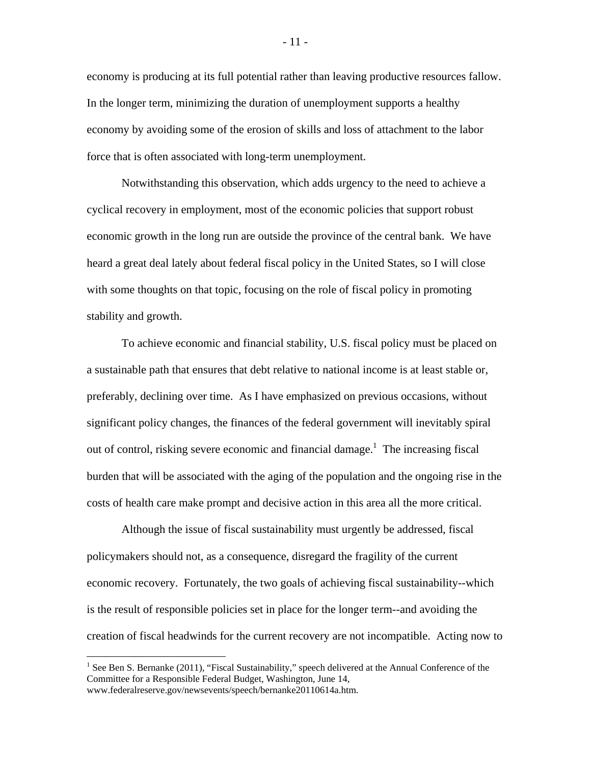economy is producing at its full potential rather than leaving productive resources fallow. In the longer term, minimizing the duration of unemployment supports a healthy economy by avoiding some of the erosion of skills and loss of attachment to the labor force that is often associated with long-term unemployment.

Notwithstanding this observation, which adds urgency to the need to achieve a cyclical recovery in employment, most of the economic policies that support robust economic growth in the long run are outside the province of the central bank. We have heard a great deal lately about federal fiscal policy in the United States, so I will close with some thoughts on that topic, focusing on the role of fiscal policy in promoting stability and growth.

To achieve economic and financial stability, U.S. fiscal policy must be placed on a sustainable path that ensures that debt relative to national income is at least stable or, preferably, declining over time. As I have emphasized on previous occasions, without significant policy changes, the finances of the federal government will inevitably spiral out of control, risking severe economic and financial damage.<sup>1</sup> The increasing fiscal burden that will be associated with the aging of the population and the ongoing rise in the costs of health care make prompt and decisive action in this area all the more critical.

Although the issue of fiscal sustainability must urgently be addressed, fiscal policymakers should not, as a consequence, disregard the fragility of the current economic recovery. Fortunately, the two goals of achieving fiscal sustainability--which is the result of responsible policies set in place for the longer term--and avoiding the creation of fiscal headwinds for the current recovery are not incompatible. Acting now to

 $\overline{a}$ 

<sup>&</sup>lt;sup>1</sup> See Ben S. Bernanke (2011), "Fiscal Sustainability," speech delivered at the Annual Conference of the Committee for a Responsible Federal Budget, Washington, June 14, www.federalreserve.gov/newsevents/speech/bernanke20110614a.htm.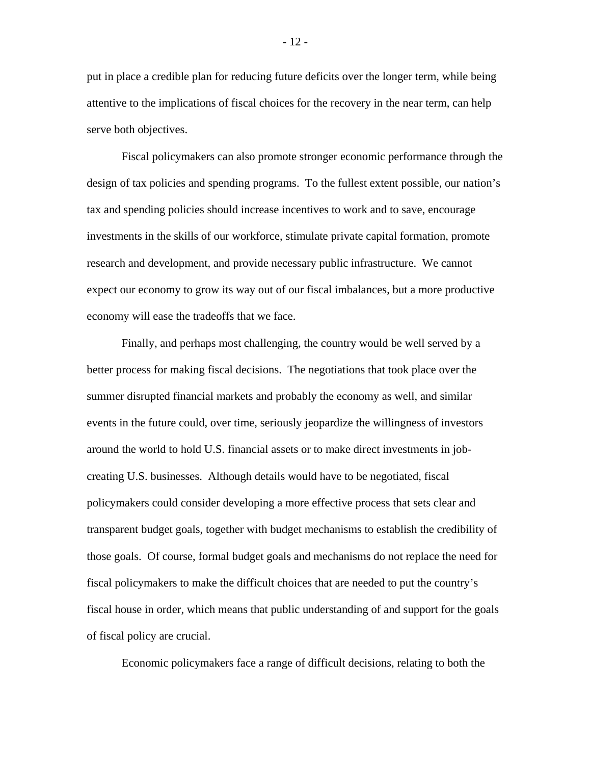put in place a credible plan for reducing future deficits over the longer term, while being attentive to the implications of fiscal choices for the recovery in the near term, can help serve both objectives.

Fiscal policymakers can also promote stronger economic performance through the design of tax policies and spending programs. To the fullest extent possible, our nation's tax and spending policies should increase incentives to work and to save, encourage investments in the skills of our workforce, stimulate private capital formation, promote research and development, and provide necessary public infrastructure. We cannot expect our economy to grow its way out of our fiscal imbalances, but a more productive economy will ease the tradeoffs that we face.

Finally, and perhaps most challenging, the country would be well served by a better process for making fiscal decisions. The negotiations that took place over the summer disrupted financial markets and probably the economy as well, and similar events in the future could, over time, seriously jeopardize the willingness of investors around the world to hold U.S. financial assets or to make direct investments in jobcreating U.S. businesses. Although details would have to be negotiated, fiscal policymakers could consider developing a more effective process that sets clear and transparent budget goals, together with budget mechanisms to establish the credibility of those goals. Of course, formal budget goals and mechanisms do not replace the need for fiscal policymakers to make the difficult choices that are needed to put the country's fiscal house in order, which means that public understanding of and support for the goals of fiscal policy are crucial.

Economic policymakers face a range of difficult decisions, relating to both the

- 12 -